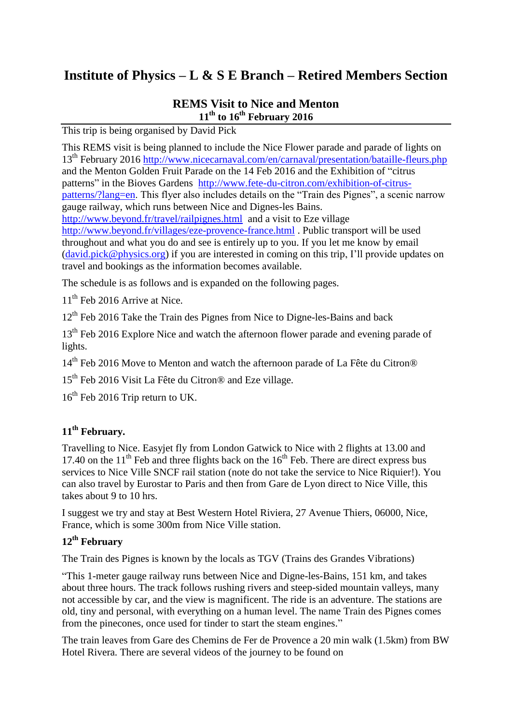# **Institute of Physics – L & S E Branch – Retired Members Section**

#### **REMS Visit to Nice and Menton 11th to 16th February 2016**

This trip is being organised by David Pick

This REMS visit is being planned to include the Nice Flower parade and parade of lights on 13th February 2016<http://www.nicecarnaval.com/en/carnaval/presentation/bataille-fleurs.php> and the Menton Golden Fruit Parade on the 14 Feb 2016 and the Exhibition of "citrus patterns" in the Bioves Gardens [http://www.fete-du-citron.com/exhibition-of-citrus](http://www.fete-du-citron.com/exhibition-of-citrus-patterns/?lang=en)[patterns/?lang=en.](http://www.fete-du-citron.com/exhibition-of-citrus-patterns/?lang=en) This flyer also includes details on the "Train des Pignes", a scenic narrow gauge railway, which runs between Nice and Dignes-les Bains. <http://www.beyond.fr/travel/railpignes.html> and a visit to Eze village <http://www.beyond.fr/villages/eze-provence-france.html> . Public transport will be used throughout and what you do and see is entirely up to you. If you let me know by email [\(david.pick@physics.org\)](mailto:david.pick@physics.org) if you are interested in coming on this trip, I'll provide updates on travel and bookings as the information becomes available.

The schedule is as follows and is expanded on the following pages.

11<sup>th</sup> Feb 2016 Arrive at Nice.

 $12<sup>th</sup>$  Feb 2016 Take the Train des Pignes from Nice to Digne-les-Bains and back

13<sup>th</sup> Feb 2016 Explore Nice and watch the afternoon flower parade and evening parade of lights.

14<sup>th</sup> Feb 2016 Move to Menton and watch the afternoon parade of La Fête du Citron<sup>®</sup>

15<sup>th</sup> Feb 2016 Visit La Fête du Citron<sup>®</sup> and Eze village.

 $16<sup>th</sup>$  Feb 2016 Trip return to UK.

## **11th February.**

Travelling to Nice. Easyjet fly from London Gatwick to Nice with 2 flights at 13.00 and 17.40 on the 11<sup>th</sup> Feb and three flights back on the  $16<sup>th</sup>$  Feb. There are direct express bus services to Nice Ville SNCF rail station (note do not take the service to Nice Riquier!). You can also travel by Eurostar to Paris and then from Gare de Lyon direct to Nice Ville, this takes about 9 to 10 hrs.

I suggest we try and stay at Best Western Hotel Riviera, 27 Avenue Thiers, 06000, Nice, France, which is some 300m from Nice Ville station.

## **12th February**

The Train des Pignes is known by the locals as TGV (Trains des Grandes Vibrations)

"This 1-meter gauge railway runs between Nice and Digne-les-Bains, 151 km, and takes about three hours. The track follows rushing rivers and steep-sided mountain valleys, many not accessible by car, and the view is magnificent. The ride is an adventure. The stations are old, tiny and personal, with everything on a human level. The name Train des Pignes comes from the pinecones, once used for tinder to start the steam engines."

The train leaves from Gare des Chemins de Fer de Provence a 20 min walk (1.5km) from BW Hotel Rivera. There are several videos of the journey to be found on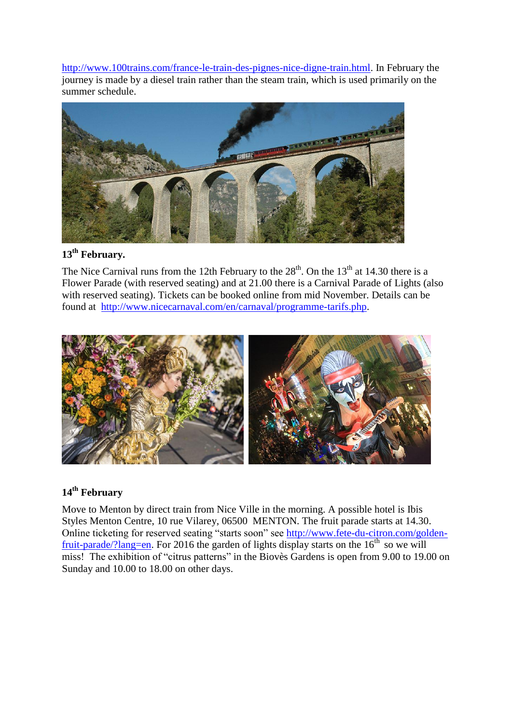[http://www.100trains.com/france-le-train-des-pignes-nice-digne-train.html.](http://www.100trains.com/france-le-train-des-pignes-nice-digne-train.html) In February the journey is made by a diesel train rather than the steam train, which is used primarily on the summer schedule.



## **13th February.**

The Nice Carnival runs from the 12th February to the  $28<sup>th</sup>$ . On the 13<sup>th</sup> at 14.30 there is a Flower Parade (with reserved seating) and at 21.00 there is a Carnival Parade of Lights (also with reserved seating). Tickets can be booked online from mid November. Details can be found at [http://www.nicecarnaval.com/en/carnaval/programme-tarifs.php.](http://www.nicecarnaval.com/en/carnaval/programme-tarifs.php)



#### **14th February**

Move to Menton by direct train from Nice Ville in the morning. A possible hotel is Ibis Styles Menton Centre, 10 rue Vilarey, 06500 MENTON. The fruit parade starts at 14.30. Online ticketing for reserved seating "starts soon" see [http://www.fete-du-citron.com/golden](http://www.fete-du-citron.com/golden-fruit-parade/?lang=en)[fruit-parade/?lang=en.](http://www.fete-du-citron.com/golden-fruit-parade/?lang=en) For 2016 the garden of lights display starts on the  $16<sup>th</sup>$  so we will miss! The exhibition of "citrus patterns" in the Biovès Gardens is open from 9.00 to 19.00 on Sunday and 10.00 to 18.00 on other days.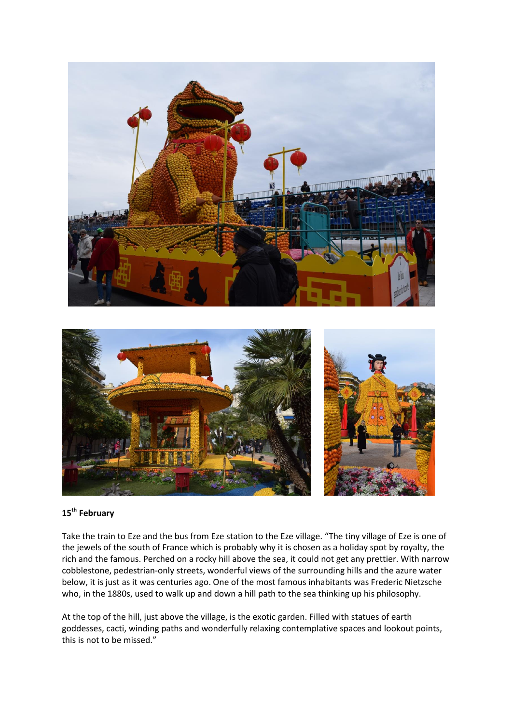

#### **15th February**

Take the train to Eze and the bus from Eze station to the Eze village. "The tiny village of Eze is one of the jewels of the south of France which is probably why it is chosen as a holiday spot by royalty, the rich and the famous. Perched on a rocky hill above the sea, it could not get any prettier. With narrow cobblestone, pedestrian-only streets, wonderful views of the surrounding hills and the azure water below, it is just as it was centuries ago. One of the most famous inhabitants was Frederic Nietzsche who, in the 1880s, used to walk up and down a hill path to the sea thinking up his philosophy.

At the top of the hill, just above the village, is the exotic garden. Filled with statues of earth goddesses, cacti, winding paths and wonderfully relaxing contemplative spaces and lookout points, this is not to be missed."